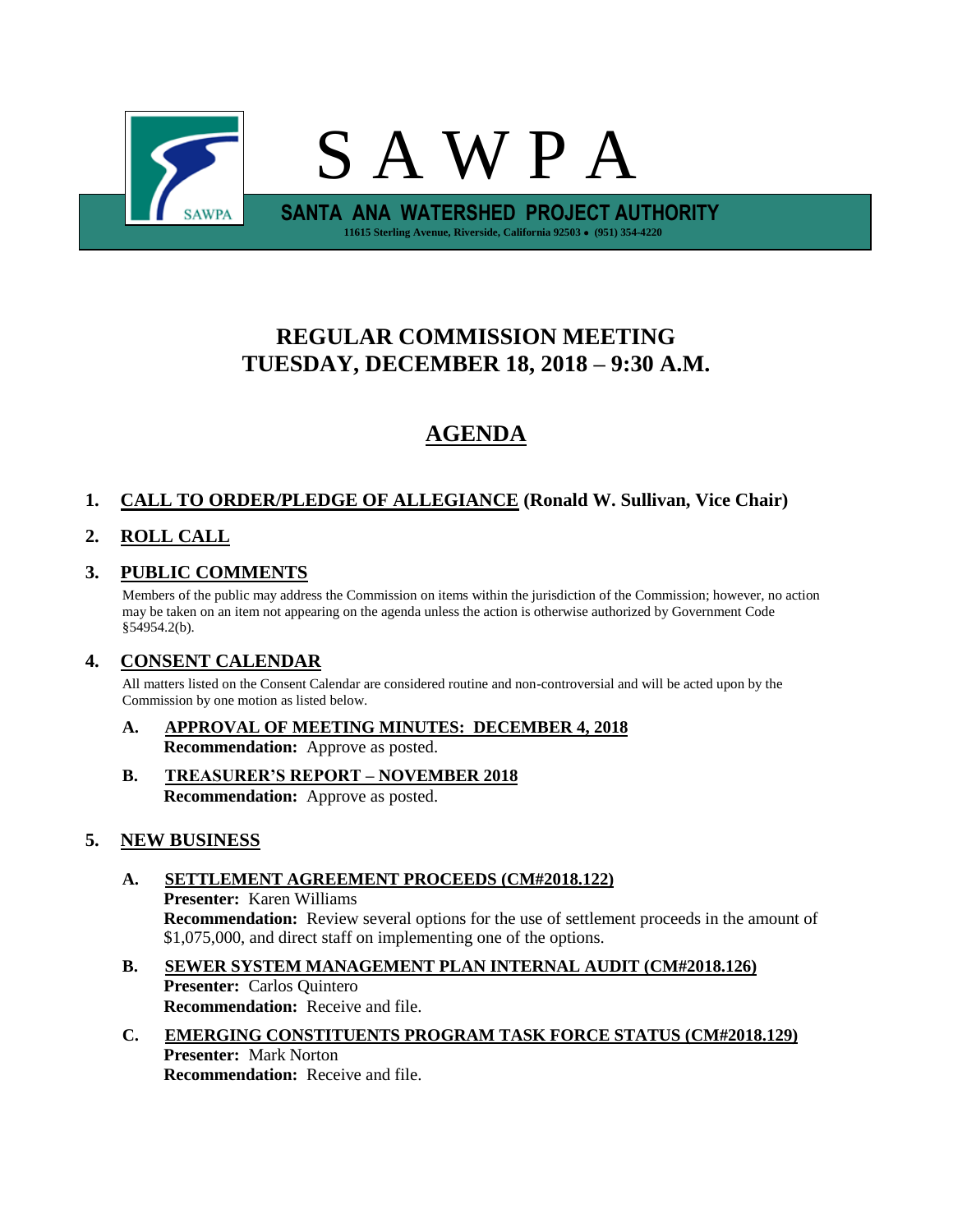

# **REGULAR COMMISSION MEETING TUESDAY, DECEMBER 18, 2018 – 9:30 A.M.**

# **AGENDA**

# **1. CALL TO ORDER/PLEDGE OF ALLEGIANCE (Ronald W. Sullivan, Vice Chair)**

# **2. ROLL CALL**

## **3. PUBLIC COMMENTS**

Members of the public may address the Commission on items within the jurisdiction of the Commission; however, no action may be taken on an item not appearing on the agenda unless the action is otherwise authorized by Government Code §54954.2(b).

## **4. CONSENT CALENDAR**

All matters listed on the Consent Calendar are considered routine and non-controversial and will be acted upon by the Commission by one motion as listed below.

- **A. APPROVAL OF MEETING MINUTES: DECEMBER 4, 2018 Recommendation:** Approve as posted.
- **B. TREASURER'S REPORT – NOVEMBER 2018 Recommendation:** Approve as posted.

## **5. NEW BUSINESS**

## **A. SETTLEMENT AGREEMENT PROCEEDS (CM#2018.122) Presenter:** Karen Williams **Recommendation:** Review several options for the use of settlement proceeds in the amount of \$1,075,000, and direct staff on implementing one of the options.

- **B. SEWER SYSTEM MANAGEMENT PLAN INTERNAL AUDIT (CM#2018.126) Presenter:** Carlos Quintero **Recommendation:** Receive and file.
- **C. EMERGING CONSTITUENTS PROGRAM TASK FORCE STATUS (CM#2018.129) Presenter:** Mark Norton **Recommendation:** Receive and file.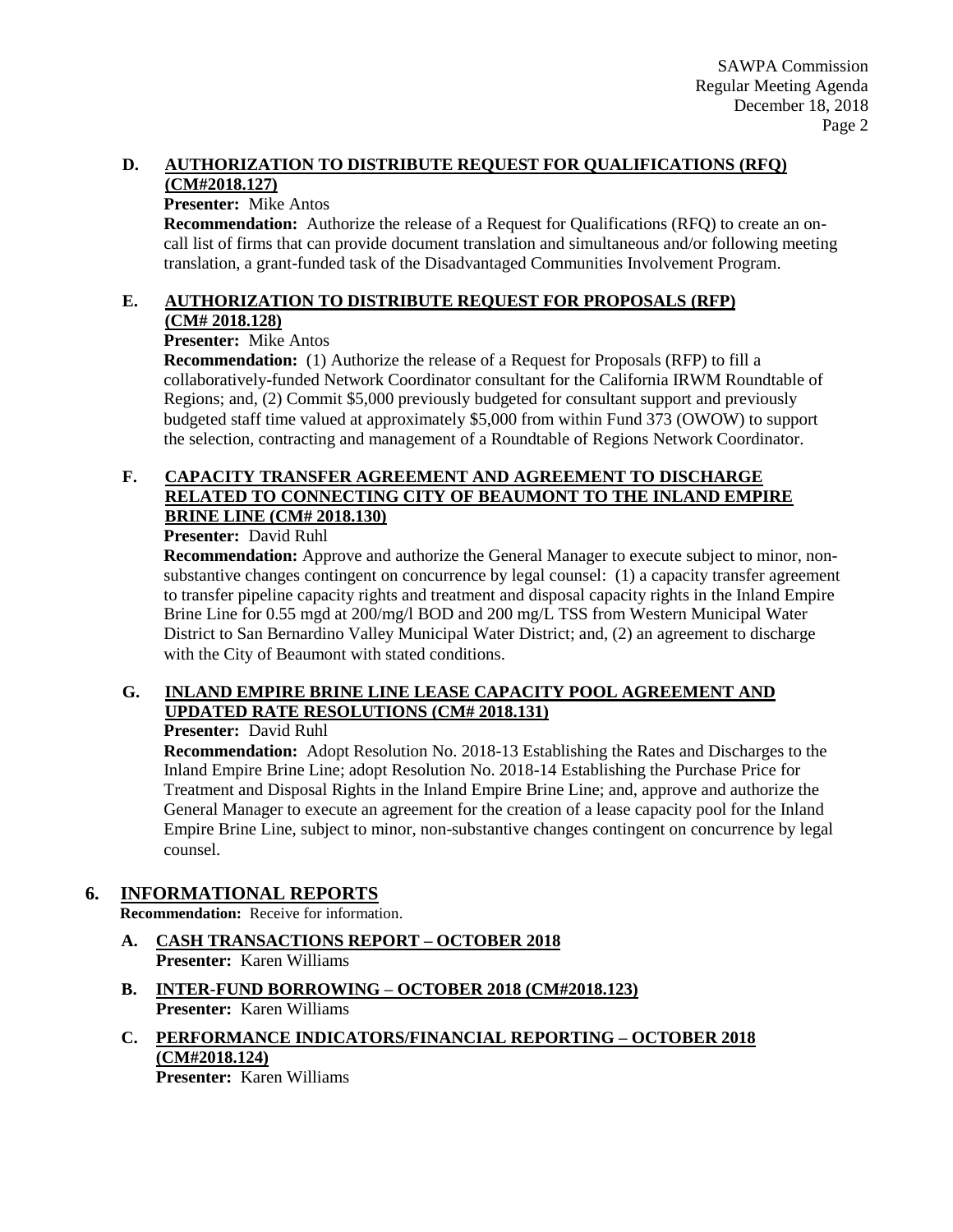#### **D. AUTHORIZATION TO DISTRIBUTE REQUEST FOR QUALIFICATIONS (RFQ) (CM#2018.127)**

#### **Presenter:** Mike Antos

**Recommendation:** Authorize the release of a Request for Qualifications (RFQ) to create an oncall list of firms that can provide document translation and simultaneous and/or following meeting translation, a grant-funded task of the Disadvantaged Communities Involvement Program.

#### **E. AUTHORIZATION TO DISTRIBUTE REQUEST FOR PROPOSALS (RFP) (CM# 2018.128)**

## **Presenter:** Mike Antos

**Recommendation:** (1) Authorize the release of a Request for Proposals (RFP) to fill a collaboratively-funded Network Coordinator consultant for the California IRWM Roundtable of Regions; and, (2) Commit \$5,000 previously budgeted for consultant support and previously budgeted staff time valued at approximately \$5,000 from within Fund 373 (OWOW) to support the selection, contracting and management of a Roundtable of Regions Network Coordinator.

## **F. CAPACITY TRANSFER AGREEMENT AND AGREEMENT TO DISCHARGE RELATED TO CONNECTING CITY OF BEAUMONT TO THE INLAND EMPIRE BRINE LINE (CM# 2018.130)**

#### **Presenter:** David Ruhl

**Recommendation:** Approve and authorize the General Manager to execute subject to minor, nonsubstantive changes contingent on concurrence by legal counsel: (1) a capacity transfer agreement to transfer pipeline capacity rights and treatment and disposal capacity rights in the Inland Empire Brine Line for 0.55 mgd at 200/mg/l BOD and 200 mg/L TSS from Western Municipal Water District to San Bernardino Valley Municipal Water District; and, (2) an agreement to discharge with the City of Beaumont with stated conditions.

## **G. INLAND EMPIRE BRINE LINE LEASE CAPACITY POOL AGREEMENT AND UPDATED RATE RESOLUTIONS (CM# 2018.131)**

#### **Presenter:** David Ruhl

**Recommendation:** Adopt Resolution No. 2018-13 Establishing the Rates and Discharges to the Inland Empire Brine Line; adopt Resolution No. 2018-14 Establishing the Purchase Price for Treatment and Disposal Rights in the Inland Empire Brine Line; and, approve and authorize the General Manager to execute an agreement for the creation of a lease capacity pool for the Inland Empire Brine Line, subject to minor, non-substantive changes contingent on concurrence by legal counsel.

## **6. INFORMATIONAL REPORTS**

**Recommendation:** Receive for information.

- **A. CASH TRANSACTIONS REPORT – OCTOBER 2018 Presenter:** Karen Williams
- **B. INTER-FUND BORROWING – OCTOBER 2018 (CM#2018.123) Presenter:** Karen Williams
- **C. PERFORMANCE INDICATORS/FINANCIAL REPORTING – OCTOBER 2018 (CM#2018.124) Presenter:** Karen Williams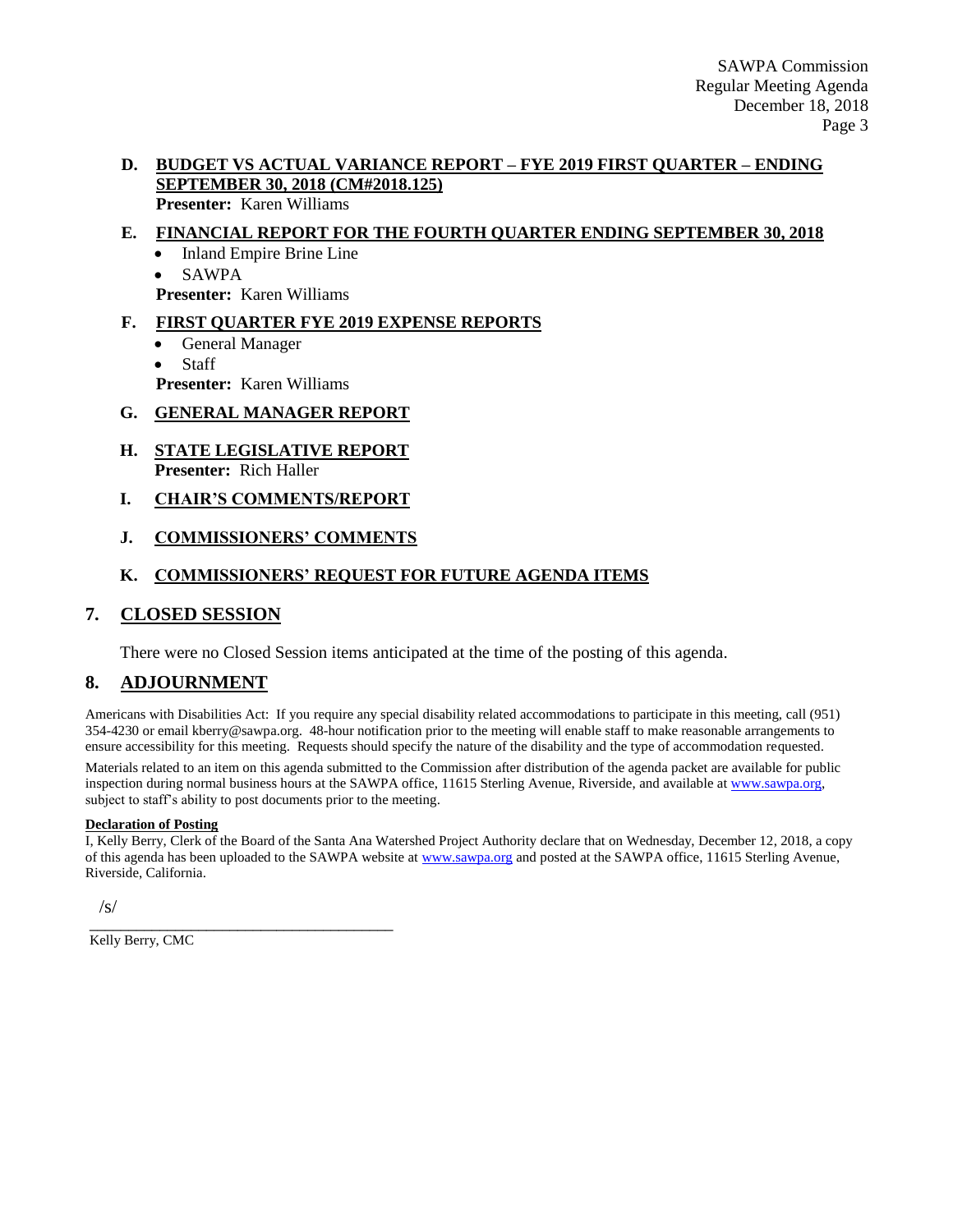#### **D. BUDGET VS ACTUAL VARIANCE REPORT – FYE 2019 FIRST QUARTER – ENDING SEPTEMBER 30, 2018 (CM#2018.125) Presenter:** Karen Williams

## **E. FINANCIAL REPORT FOR THE FOURTH QUARTER ENDING SEPTEMBER 30, 2018**

- Inland Empire Brine Line
- SAWPA

**Presenter:** Karen Williams

## **F. FIRST QUARTER FYE 2019 EXPENSE REPORTS**

- General Manager
- Staff

**Presenter:** Karen Williams

#### **G. GENERAL MANAGER REPORT**

- **H. STATE LEGISLATIVE REPORT Presenter:** Rich Haller
- **I. CHAIR'S COMMENTS/REPORT**
- **J. COMMISSIONERS' COMMENTS**

## **K. COMMISSIONERS' REQUEST FOR FUTURE AGENDA ITEMS**

#### **7. CLOSED SESSION**

There were no Closed Session items anticipated at the time of the posting of this agenda.

## **8. ADJOURNMENT**

Americans with Disabilities Act: If you require any special disability related accommodations to participate in this meeting, call (951) 354-4230 or email kberry@sawpa.org. 48-hour notification prior to the meeting will enable staff to make reasonable arrangements to ensure accessibility for this meeting. Requests should specify the nature of the disability and the type of accommodation requested.

Materials related to an item on this agenda submitted to the Commission after distribution of the agenda packet are available for public inspection during normal business hours at the SAWPA office, 11615 Sterling Avenue, Riverside, and available a[t www.sawpa.org,](http://www.sawpa.org/) subject to staff's ability to post documents prior to the meeting.

#### **Declaration of Posting**

I, Kelly Berry, Clerk of the Board of the Santa Ana Watershed Project Authority declare that on Wednesday, December 12, 2018, a copy of this agenda has been uploaded to the SAWPA website at [www.sawpa.org](http://www.sawpa.org/) and posted at the SAWPA office, 11615 Sterling Avenue, Riverside, California.

/s/

Kelly Berry, CMC

\_\_\_\_\_\_\_\_\_\_\_\_\_\_\_\_\_\_\_\_\_\_\_\_\_\_\_\_\_\_\_\_\_\_\_\_\_\_\_